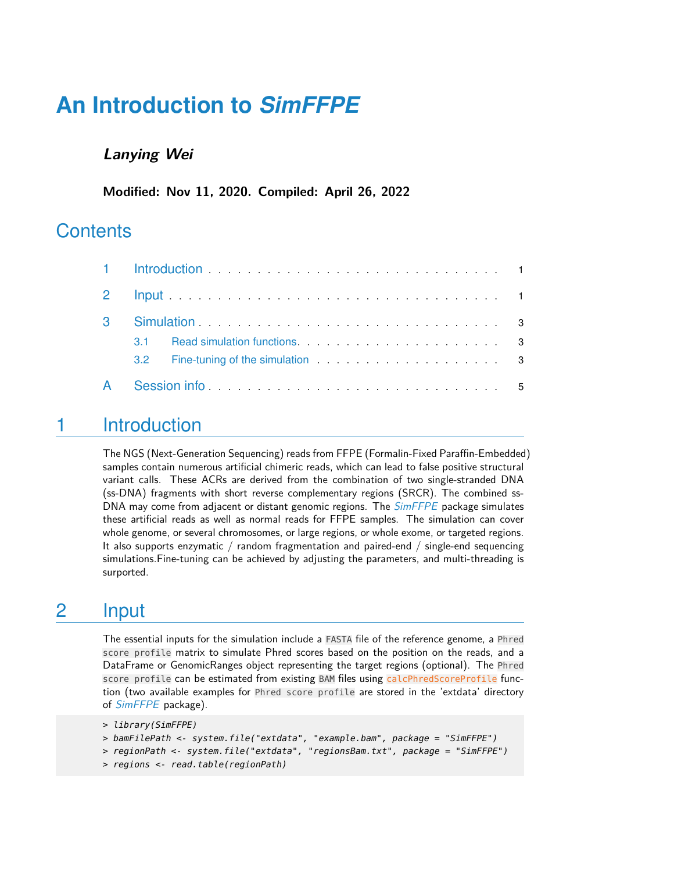# **An Introduction to** *[SimFFPE](http://bioconductor.org/packages/SimFFPE)*

#### **Lanying Wei**

**Modified: Nov 11, 2020. Compiled: April 26, 2022**

## **Contents**

| $3^{\circ}$  |  | Simulation Subsequence of the Simulation Contract of the service of the Simulation Simulation of the Simulation Simulation of the Simulation Simulation of the Simulation of the Simulation of the Simulation of the Simulatio |  |  |  |  |  |  |  |
|--------------|--|--------------------------------------------------------------------------------------------------------------------------------------------------------------------------------------------------------------------------------|--|--|--|--|--|--|--|
|              |  |                                                                                                                                                                                                                                |  |  |  |  |  |  |  |
|              |  |                                                                                                                                                                                                                                |  |  |  |  |  |  |  |
| $\mathsf{A}$ |  | Session information and the service of the service of the service of the service of the service of the service of the service of the service of the service of the service of the service of the service of the service of the |  |  |  |  |  |  |  |

# <span id="page-0-0"></span>1 Introduction

The NGS (Next-Generation Sequencing) reads from FFPE (Formalin-Fixed Paraffin-Embedded) samples contain numerous artificial chimeric reads, which can lead to false positive structural variant calls. These ACRs are derived from the combination of two single-stranded DNA (ss-DNA) fragments with short reverse complementary regions (SRCR). The combined ss-DNA may come from adjacent or distant genomic regions. The *[SimFFPE](http://bioconductor.org/packages/SimFFPE)* package simulates these artificial reads as well as normal reads for FFPE samples. The simulation can cover whole genome, or several chromosomes, or large regions, or whole exome, or targeted regions. It also supports enzymatic / random fragmentation and paired-end / single-end sequencing simulations.Fine-tuning can be achieved by adjusting the parameters, and multi-threading is surported.

## <span id="page-0-1"></span>2 Input

The essential inputs for the simulation include a FASTA file of the reference genome, a Phred score profile matrix to simulate Phred scores based on the position on the reads, and a DataFrame or GenomicRanges object representing the target regions (optional). The Phred score profile can be estimated from existing BAM files using calcPhredScoreProfile function (two available examples for Phred score profile are stored in the 'extdata' directory of [SimFFPE](http://bioconductor.org/packages/SimFFPE) package).

```
> library(SimFFPE)
```

```
> bamFilePath <- system.file("extdata", "example.bam", package = "SimFFPE")
```
- > regionPath <- system.file("extdata", "regionsBam.txt", package = "SimFFPE")
- > regions <- read.table(regionPath)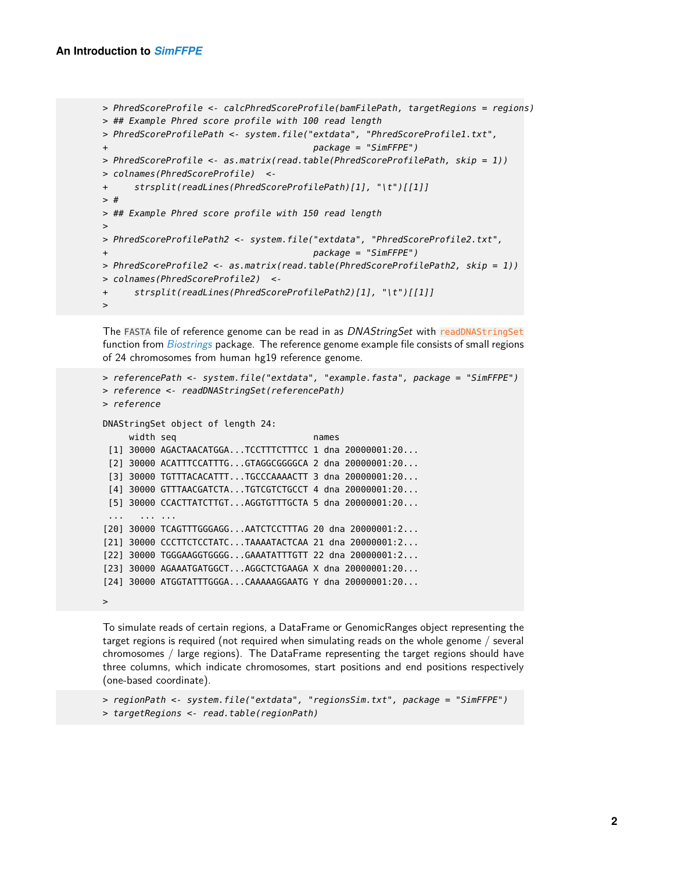>

```
> PhredScoreProfile <- calcPhredScoreProfile(bamFilePath, targetRegions = regions)
> ## Example Phred score profile with 100 read length
> PhredScoreProfilePath <- system.file("extdata", "PhredScoreProfile1.txt",
+ package = "SimFFPE")
> PhredScoreProfile <- as.matrix(read.table(PhredScoreProfilePath, skip = 1))
> colnames(PhredScoreProfile) <-
+ strsplit(readLines(PhredScoreProfilePath)[1], "\t")[[1]]
> #
> ## Example Phred score profile with 150 read length
>
> PhredScoreProfilePath2 <- system.file("extdata", "PhredScoreProfile2.txt",
+ package = "SimFFPE")
> PhredScoreProfile2 <- as.matrix(read.table(PhredScoreProfilePath2, skip = 1))
> colnames(PhredScoreProfile2) <-
+ strsplit(readLines(PhredScoreProfilePath2)[1], "\t")[[1]]
>
```
The FASTA file of reference genome can be read in as DNAStringSet with readDNAStringSet function from [Biostrings](http://bioconductor.org/packages/Biostrings) package. The reference genome example file consists of small regions of 24 chromosomes from human hg19 reference genome.

```
> referencePath <- system.file("extdata", "example.fasta", package = "SimFFPE")
> reference <- readDNAStringSet(referencePath)
> reference
DNAStringSet object of length 24:
     width seq names
 [1] 30000 AGACTAACATGGA...TCCTTTCTTTCC 1 dna 20000001:20...
 [2] 30000 ACATTTCCATTTG...GTAGGCGGGGCA 2 dna 20000001:20...
 [3] 30000 TGTTTACACATTT...TGCCCAAAACTT 3 dna 20000001:20...
 [4] 30000 GTTTAACGATCTA...TGTCGTCTGCCT 4 dna 20000001:20...
 [5] 30000 CCACTTATCTTGT...AGGTGTTTGCTA 5 dna 20000001:20...
 ... ... ...
[20] 30000 TCAGTTTGGGAGG...AATCTCCTTTAG 20 dna 20000001:2...
[21] 30000 CCCTTCTCCTATC...TAAAATACTCAA 21 dna 20000001:2...
[22] 30000 TGGGAAGGTGGGG...GAAATATTTGTT 22 dna 20000001:2...
[23] 30000 AGAAATGATGGCT...AGGCTCTGAAGA X dna 20000001:20...
[24] 30000 ATGGTATTTGGGA...CAAAAAGGAATG Y dna 20000001:20...
```
To simulate reads of certain regions, a DataFrame or GenomicRanges object representing the target regions is required (not required when simulating reads on the whole genome / several chromosomes / large regions). The DataFrame representing the target regions should have three columns, which indicate chromosomes, start positions and end positions respectively (one-based coordinate).

```
> regionPath <- system.file("extdata", "regionsSim.txt", package = "SimFFPE")
> targetRegions <- read.table(regionPath)
```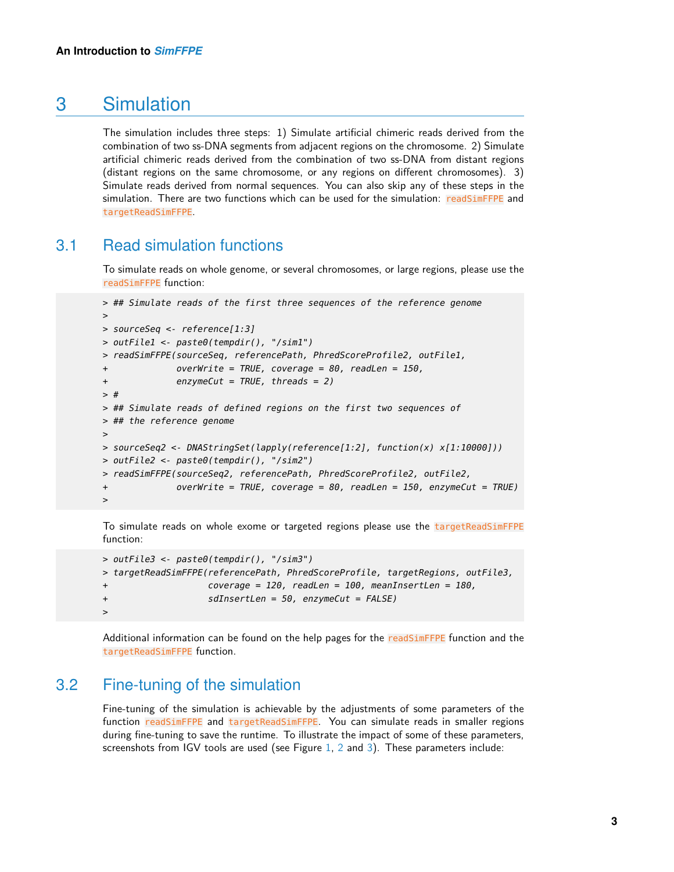## 3 Simulation

The simulation includes three steps: 1) Simulate artificial chimeric reads derived from the combination of two ss-DNA segments from adjacent regions on the chromosome. 2) Simulate artificial chimeric reads derived from the combination of two ss-DNA from distant regions (distant regions on the same chromosome, or any regions on different chromosomes). 3) Simulate reads derived from normal sequences. You can also skip any of these steps in the simulation. There are two functions which can be used for the simulation: readSimFFPE and targetReadSimFFPE.

#### 3.1 Read simulation functions

<span id="page-2-0"></span>To simulate reads on whole genome, or several chromosomes, or large regions, please use the readSimFFPE function:

```
> ## Simulate reads of the first three sequences of the reference genome
>
> sourceSeq <- reference[1:3]
> outFile1 <- paste0(tempdir(), "/sim1")
> readSimFFPE(sourceSeq, referencePath, PhredScoreProfile2, outFile1,
+ overWrite = TRUE, coverage = 80, readLen = 150,
+ enzymeCut = TRUE, threads = 2)
> #
> ## Simulate reads of defined regions on the first two sequences of
> ## the reference genome
>
> sourceSeq2 <- DNAStringSet(lapply(reference[1:2], function(x) x[1:10000]))
> outFile2 <- paste0(tempdir(), "/sim2")
> readSimFFPE(sourceSeq2, referencePath, PhredScoreProfile2, outFile2,
+ overWrite = TRUE, coverage = 80, readLen = 150, enzymeCut = TRUE)
>
```
To simulate reads on whole exome or targeted regions please use the targetReadSimFFPE function:

```
> outFile3 <- paste0(tempdir(), "/sim3")
> targetReadSimFFPE(referencePath, PhredScoreProfile, targetRegions, outFile3,
+ coverage = 120, readLen = 100, meanInsertLen = 180,
+ sdInsertLen = 50, enzymeCut = FALSE)
>
```
<span id="page-2-1"></span>Additional information can be found on the help pages for the readSimFFPE function and the targetReadSimFFPE function.

#### 3.2 Fine-tuning of the simulation

Fine-tuning of the simulation is achievable by the adjustments of some parameters of the function readSimFFPE and targetReadSimFFPE. You can simulate reads in smaller regions during fine-tuning to save the runtime. To illustrate the impact of some of these parameters, screenshots from IGV tools are used (see Figure  $1, 2$  $1, 2$  $1, 2$  and  $3$ ). These parameters include: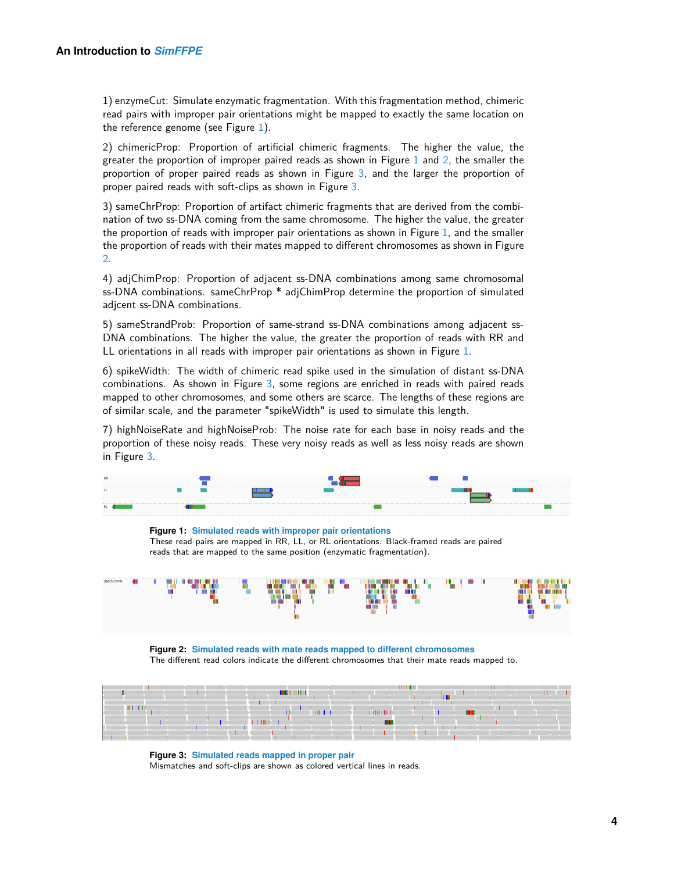1) enzymeCut: Simulate enzymatic fragmentation. With this fragmentation method, chimeric read pairs with improper pair orientations might be mapped to exactly the same location on the reference genome (see Figure [1\)](#page-3-1).

2) chimericProp: Proportion of artificial chimeric fragments. The higher the value, the greater the proportion of improper paired reads as shown in Figure [1](#page-3-1) and [2,](#page-3-2) the smaller the proportion of proper paired reads as shown in Figure [3,](#page-3-3) and the larger the proportion of proper paired reads with soft-clips as shown in Figure [3.](#page-3-3)

3) sameChrProp: Proportion of artifact chimeric fragments that are derived from the combination of two ss-DNA coming from the same chromosome. The higher the value, the greater the proportion of reads with improper pair orientations as shown in Figure [1,](#page-3-1) and the smaller the proportion of reads with their mates mapped to different chromosomes as shown in Figure [2.](#page-3-2)

4) adjChimProp: Proportion of adjacent ss-DNA combinations among same chromosomal ss-DNA combinations. sameChrProp \* adjChimProp determine the proportion of simulated adjcent ss-DNA combinations.

5) sameStrandProb: Proportion of same-strand ss-DNA combinations among adjacent ss-DNA combinations. The higher the value, the greater the proportion of reads with RR and LL orientations in all reads with improper pair orientations as shown in Figure [1.](#page-3-1)

6) spikeWidth: The width of chimeric read spike used in the simulation of distant ss-DNA combinations. As shown in Figure [3,](#page-3-3) some regions are enriched in reads with paired reads mapped to other chromosomes, and some others are scarce. The lengths of these regions are of similar scale, and the parameter "spikeWidth" is used to simulate this length.

7) highNoiseRate and highNoiseProb: The noise rate for each base in noisy reads and the proportion of these noisy reads. These very noisy reads as well as less noisy reads are shown in Figure [3.](#page-3-3)

<span id="page-3-1"></span>

**Figure 1: Simulated reads with improper pair orientations** These read pairs are mapped in RR, LL, or RL orientations. Black-framed reads are paired reads that are mapped to the same position (enzymatic fragmentation).

<span id="page-3-2"></span>

**Figure 2: Simulated reads with mate reads mapped to different chromosomes** The different read colors indicate the different chromosomes that their mate reads mapped to.

<span id="page-3-3"></span>

<span id="page-3-0"></span>**Figure 3: Simulated reads mapped in proper pair** Mismatches and soft-clips are shown as colored vertical lines in reads.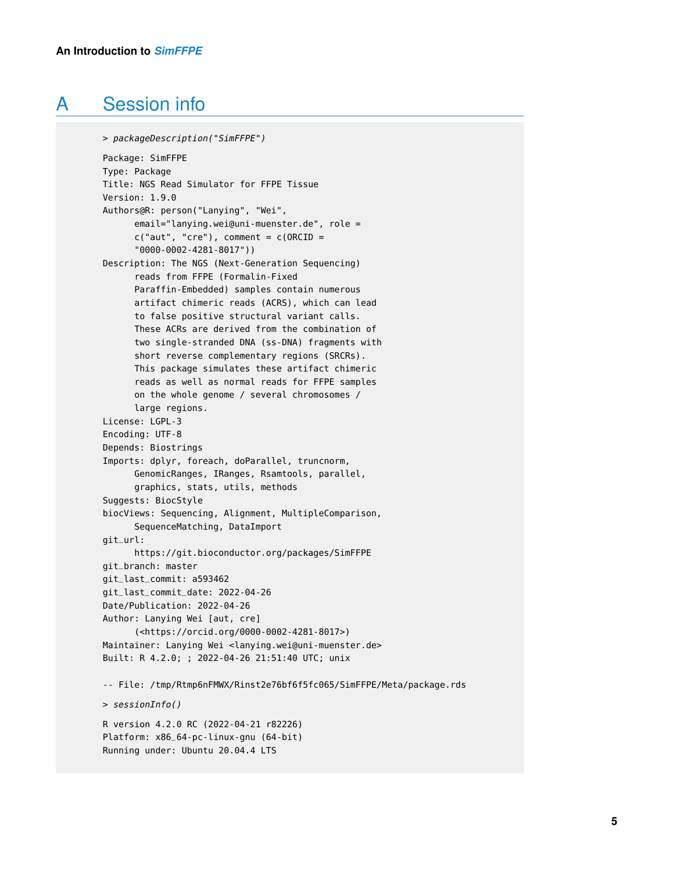# A Session info

```
> packageDescription("SimFFPE")
Package: SimFFPE
Type: Package
Title: NGS Read Simulator for FFPE Tissue
Version: 1.9.0
Authors@R: person("Lanying", "Wei",
      email="lanying.wei@uni-muenster.de", role =
      c("aut", "cre"), comment = c(ORCID ="0000-0002-4281-8017"))
Description: The NGS (Next-Generation Sequencing)
      reads from FFPE (Formalin-Fixed
      Paraffin-Embedded) samples contain numerous
      artifact chimeric reads (ACRS), which can lead
      to false positive structural variant calls.
      These ACRs are derived from the combination of
      two single-stranded DNA (ss-DNA) fragments with
      short reverse complementary regions (SRCRs).
      This package simulates these artifact chimeric
      reads as well as normal reads for FFPE samples
      on the whole genome / several chromosomes /
      large regions.
License: LGPL-3
Encoding: UTF-8
Depends: Biostrings
Imports: dplyr, foreach, doParallel, truncnorm,
      GenomicRanges, IRanges, Rsamtools, parallel,
      graphics, stats, utils, methods
Suggests: BiocStyle
biocViews: Sequencing, Alignment, MultipleComparison,
      SequenceMatching, DataImport
git_url:
      https://git.bioconductor.org/packages/SimFFPE
git_branch: master
git_last_commit: a593462
git_last_commit_date: 2022-04-26
Date/Publication: 2022-04-26
Author: Lanying Wei [aut, cre]
      (<https://orcid.org/0000-0002-4281-8017>)
Maintainer: Lanying Wei <lanying.wei@uni-muenster.de>
Built: R 4.2.0; ; 2022-04-26 21:51:40 UTC; unix
-- File: /tmp/Rtmp6nFMWX/Rinst2e76bf6f5fc065/SimFFPE/Meta/package.rds
> sessionInfo()
R version 4.2.0 RC (2022-04-21 r82226)
Platform: x86_64-pc-linux-gnu (64-bit)
Running under: Ubuntu 20.04.4 LTS
```